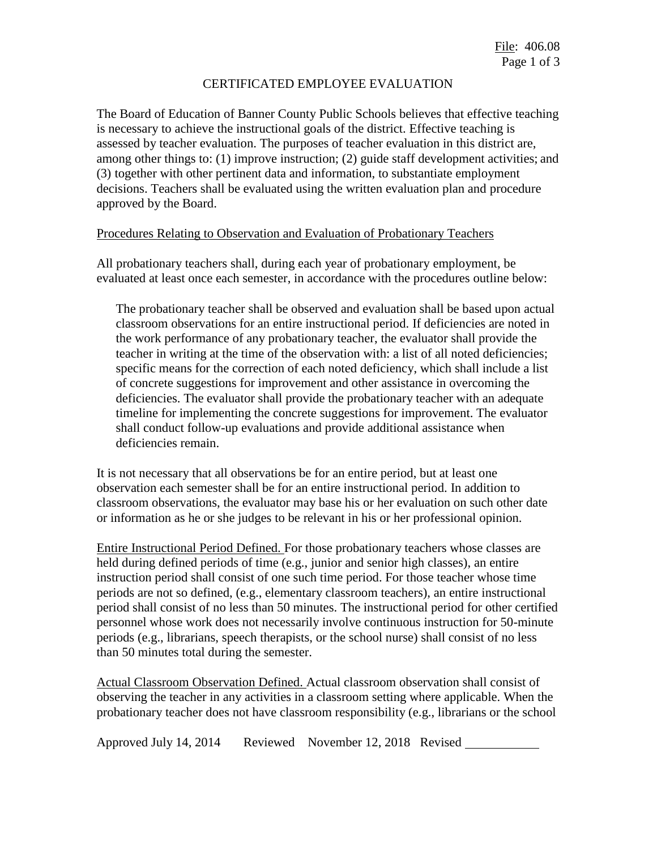### CERTIFICATED EMPLOYEE EVALUATION

The Board of Education of Banner County Public Schools believes that effective teaching is necessary to achieve the instructional goals of the district. Effective teaching is assessed by teacher evaluation. The purposes of teacher evaluation in this district are, among other things to: (1) improve instruction; (2) guide staff development activities; and (3) together with other pertinent data and information, to substantiate employment decisions. Teachers shall be evaluated using the written evaluation plan and procedure approved by the Board.

#### Procedures Relating to Observation and Evaluation of Probationary Teachers

All probationary teachers shall, during each year of probationary employment, be evaluated at least once each semester, in accordance with the procedures outline below:

The probationary teacher shall be observed and evaluation shall be based upon actual classroom observations for an entire instructional period. If deficiencies are noted in the work performance of any probationary teacher, the evaluator shall provide the teacher in writing at the time of the observation with: a list of all noted deficiencies; specific means for the correction of each noted deficiency, which shall include a list of concrete suggestions for improvement and other assistance in overcoming the deficiencies. The evaluator shall provide the probationary teacher with an adequate timeline for implementing the concrete suggestions for improvement. The evaluator shall conduct follow-up evaluations and provide additional assistance when deficiencies remain.

It is not necessary that all observations be for an entire period, but at least one observation each semester shall be for an entire instructional period. In addition to classroom observations, the evaluator may base his or her evaluation on such other date or information as he or she judges to be relevant in his or her professional opinion.

Entire Instructional Period Defined. For those probationary teachers whose classes are held during defined periods of time (e.g., junior and senior high classes), an entire instruction period shall consist of one such time period. For those teacher whose time periods are not so defined, (e.g., elementary classroom teachers), an entire instructional period shall consist of no less than 50 minutes. The instructional period for other certified personnel whose work does not necessarily involve continuous instruction for 50-minute periods (e.g., librarians, speech therapists, or the school nurse) shall consist of no less than 50 minutes total during the semester.

Actual Classroom Observation Defined. Actual classroom observation shall consist of observing the teacher in any activities in a classroom setting where applicable. When the probationary teacher does not have classroom responsibility (e.g., librarians or the school

Approved July 14, 2014 Reviewed November 12, 2018 Revised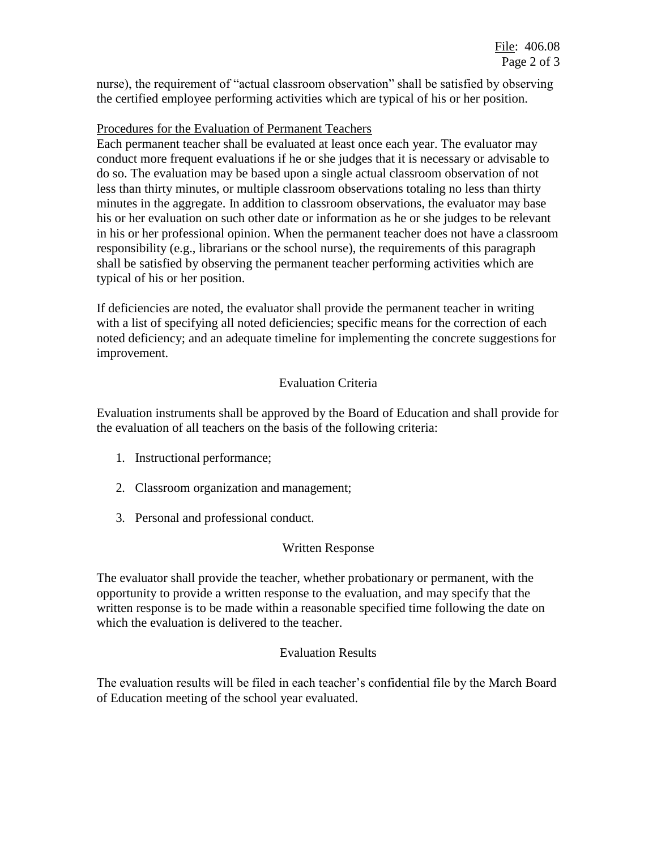nurse), the requirement of "actual classroom observation" shall be satisfied by observing the certified employee performing activities which are typical of his or her position.

## Procedures for the Evaluation of Permanent Teachers

Each permanent teacher shall be evaluated at least once each year. The evaluator may conduct more frequent evaluations if he or she judges that it is necessary or advisable to do so. The evaluation may be based upon a single actual classroom observation of not less than thirty minutes, or multiple classroom observations totaling no less than thirty minutes in the aggregate. In addition to classroom observations, the evaluator may base his or her evaluation on such other date or information as he or she judges to be relevant in his or her professional opinion. When the permanent teacher does not have a classroom responsibility (e.g., librarians or the school nurse), the requirements of this paragraph shall be satisfied by observing the permanent teacher performing activities which are typical of his or her position.

If deficiencies are noted, the evaluator shall provide the permanent teacher in writing with a list of specifying all noted deficiencies; specific means for the correction of each noted deficiency; and an adequate timeline for implementing the concrete suggestionsfor improvement.

# Evaluation Criteria

Evaluation instruments shall be approved by the Board of Education and shall provide for the evaluation of all teachers on the basis of the following criteria:

- 1. Instructional performance;
- 2. Classroom organization and management;
- 3. Personal and professional conduct.

# Written Response

The evaluator shall provide the teacher, whether probationary or permanent, with the opportunity to provide a written response to the evaluation, and may specify that the written response is to be made within a reasonable specified time following the date on which the evaluation is delivered to the teacher.

### Evaluation Results

The evaluation results will be filed in each teacher's confidential file by the March Board of Education meeting of the school year evaluated.